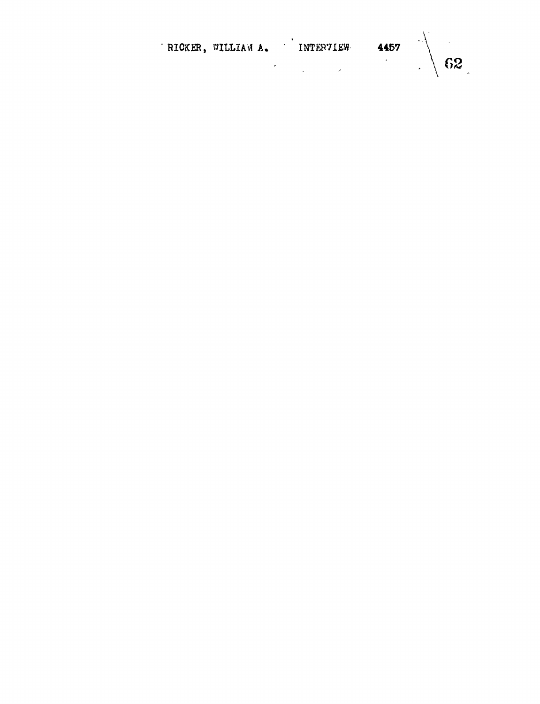| RICKER, WILLIAM A. |  | INTERVIEW | 4457 |                |
|--------------------|--|-----------|------|----------------|
|                    |  |           |      | $\setminus 62$ |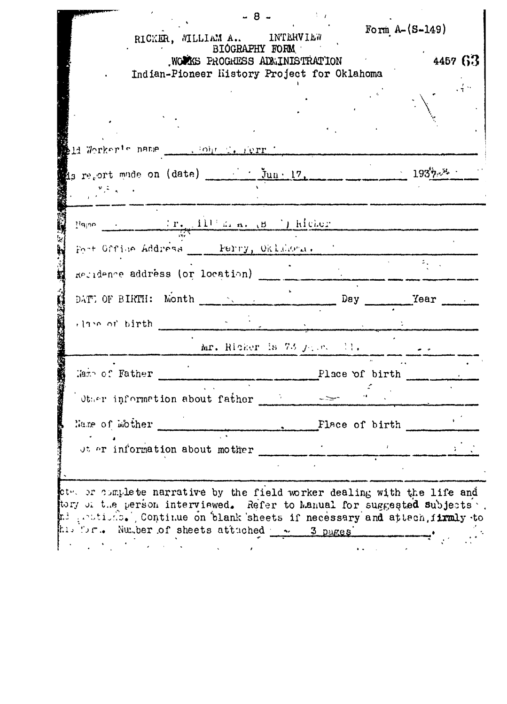|                                                                                                                                                                                                                                                                                                                                                                                                                                                                                                                                                        | RICKER, WILLIAM A., INTERVIEW               | - 8                                             | Form $A - (S - 149)$ |                                                 |
|--------------------------------------------------------------------------------------------------------------------------------------------------------------------------------------------------------------------------------------------------------------------------------------------------------------------------------------------------------------------------------------------------------------------------------------------------------------------------------------------------------------------------------------------------------|---------------------------------------------|-------------------------------------------------|----------------------|-------------------------------------------------|
|                                                                                                                                                                                                                                                                                                                                                                                                                                                                                                                                                        | Indian-Pioneer History Project for Oklahoma | BIOGRAPHY FORM<br>WOURS PROGRESS ADMINISTRATION |                      | 4457 63                                         |
|                                                                                                                                                                                                                                                                                                                                                                                                                                                                                                                                                        |                                             |                                                 |                      |                                                 |
| 14 Worker's name  . Our C. Ferr                                                                                                                                                                                                                                                                                                                                                                                                                                                                                                                        |                                             |                                                 |                      |                                                 |
| is regort mude on (date) in the l7,<br>$\frac{\partial^2 \mathcal{L}}{\partial x^2} = \frac{1}{2} \frac{\partial^2 \mathcal{L}}{\partial x^2} + \frac{1}{2} \frac{\partial^2 \mathcal{L}}{\partial x^2} + \frac{1}{2} \frac{\partial^2 \mathcal{L}}{\partial x^2} + \frac{1}{2} \frac{\partial^2 \mathcal{L}}{\partial x^2} + \frac{1}{2} \frac{\partial^2 \mathcal{L}}{\partial x^2} + \frac{1}{2} \frac{\partial^2 \mathcal{L}}{\partial x^2} + \frac{1}{2} \frac{\partial^2 \mathcal{L}}{\partial x^2} + \frac{1}{2} \frac{\partial^2 \mathcal{L}}$ |                                             |                                                 |                      | $-$ 193 <sup>1</sup> $\gamma_{5}$ <sup>34</sup> |
|                                                                                                                                                                                                                                                                                                                                                                                                                                                                                                                                                        |                                             |                                                 |                      |                                                 |
| Fort Office Address ___ Perry, Oklikorn,<br>Regidence address (or location)                                                                                                                                                                                                                                                                                                                                                                                                                                                                            |                                             |                                                 |                      |                                                 |
| DATE OF BIRTH: Month                                                                                                                                                                                                                                                                                                                                                                                                                                                                                                                                   |                                             |                                                 | $Day_$               | Year                                            |
| clase of birth                                                                                                                                                                                                                                                                                                                                                                                                                                                                                                                                         |                                             | Mr. Ricker is 73 $j_1$ . $\cdots$ 11.           |                      |                                                 |
| Maxe of Father                                                                                                                                                                                                                                                                                                                                                                                                                                                                                                                                         |                                             |                                                 | Place of birth       |                                                 |
| $[0,1]$ or information about father $[0,1]$                                                                                                                                                                                                                                                                                                                                                                                                                                                                                                            |                                             |                                                 | Flace of birth       |                                                 |
| Name of mother                                                                                                                                                                                                                                                                                                                                                                                                                                                                                                                                         |                                             |                                                 |                      |                                                 |

mi principals (continue on blank sheets if necessary and attach, firmly to<br>his for... Number of sheets attached 3 pages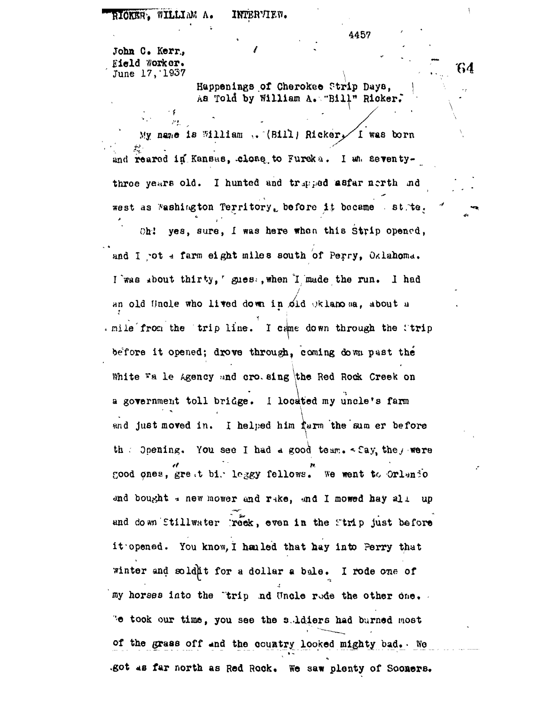RIOKER, WILLIAM A. INTERVIEW.

445?

64

John C. Kerr, / Kield worker. June 17, 1937

يوملر

Happenings of Cheroke© Strip Days, Aa Told by William A. "Bill" Ricker.

My name is William  $,$  (Bill) Ricker $\checkmark$  I was born and reared in Kansas, close to Fureka. I an seventythroe years old. I hunted and trapped asfar nerth ind west as Washington Territory, before it became st. te.

Oh! yes, sure, I was here when this Strip opened, and I ot - farm eight miles south of Perry, Oklahoma. I was sbout thirty, gues:, when I made the run. I had an old Uncle who lived down in old Oklahosa, about a . mile from the trip line. I came down through the itrip before it opened; drove through, coming down past the White Wa le Agency and cro. sing the Red Rock Creek on a government toll bridge. I located my uncle's farm and just moved in. I helped him farm the sum er before th . Opening. You see I had a good team.  $\sim$  Cay, the, were cood ones, gre ,t bi/ loggy fellows, we went to Orlsnio and bought *\** new mower and rake, and I mowed hay all up and down Stillwater reek, even in the Strip just before it opened. You know, I hauled that hay into Perry that winter and soldn<sup>t</sup> for a dollar a bale. I rode one of my horses into the "trip nd Hncle rode the other One. 'e took our time, you see the s. ldiers had burned most of the grass off and the country looked mighty bad. We .got as far north as Red Rock. We saw plenty of Soomers.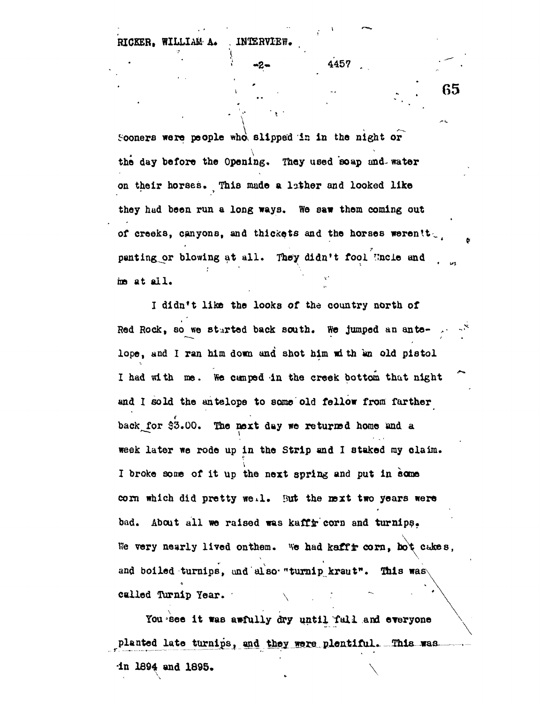| RICKER, WILLIAM A. |  |  | INTERVIEW. |
|--------------------|--|--|------------|
|--------------------|--|--|------------|

*\*

Sooners were people who, slipped in in the night or the day before the Opening. They used soap and- water on their horses. This made a lather and looked like they hud been run a long ways. We saw them coming out of creeks, canyons, and thickets and the horses werentt. panting or blowing at all. They didn't fool Uncle and me at all.

 $\frac{1}{2}$   $\frac{1}{2}$   $\frac{1}{2}$   $\frac{1}{2}$   $\frac{1}{2}$   $\frac{1}{2}$   $\frac{1}{2}$   $\frac{1}{2}$   $\frac{1}{2}$   $\frac{1}{2}$   $\frac{1}{2}$   $\frac{1}{2}$   $\frac{1}{2}$   $\frac{1}{2}$   $\frac{1}{2}$   $\frac{1}{2}$   $\frac{1}{2}$   $\frac{1}{2}$   $\frac{1}{2}$   $\frac{1}{2}$   $\frac{1}{2}$   $\frac{1}{2}$ 

**1.** . . . . . . . . . . . . . . 65

I didn't like the looks of the country north of Red Rock, so we started back south. We jumped an antelope, and I ran him down and shot him with an old pistol I had with me. We canped in the creek bottom that night and I sold the antelope to some old fellow from farther back for \$3.00. The next day we returned home and a week later we rode up in the Strip and I staked my claim. I broke some of it up the next spring and put in some corn which did pretty we\*l. But the *mxt* two years were bad. About all we raised was kaffir corn and turnips. We very nearly lived onthem. We had kaffir corn, bot cukes, and boiled turnips, and also "turnip kraut". This was called Turnip Year.

You see it was awfully dry until fall and everyone planted late turnips, and they were plentiful. This was  $\ln$  1894 and 1895.